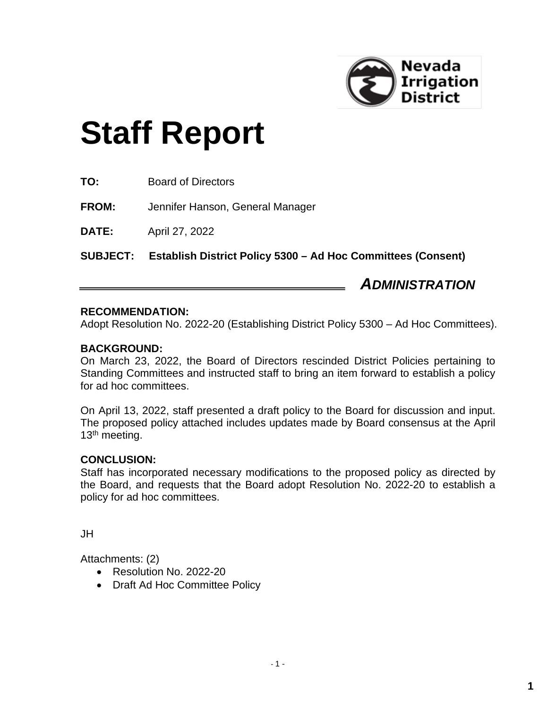

# **Staff Report**

**TO:** Board of Directors

**FROM:** Jennifer Hanson, General Manager

**DATE:** April 27, 2022

**SUBJECT: Establish District Policy 5300 – Ad Hoc Committees (Consent)**

*ADMINISTRATION*

### **RECOMMENDATION:**

Adopt Resolution No. 2022-20 (Establishing District Policy 5300 – Ad Hoc Committees).

### **BACKGROUND:**

On March 23, 2022, the Board of Directors rescinded District Policies pertaining to Standing Committees and instructed staff to bring an item forward to establish a policy for ad hoc committees.

On April 13, 2022, staff presented a draft policy to the Board for discussion and input. The proposed policy attached includes updates made by Board consensus at the April 13<sup>th</sup> meeting.

### **CONCLUSION:**

Staff has incorporated necessary modifications to the proposed policy as directed by the Board, and requests that the Board adopt Resolution No. 2022-20 to establish a policy for ad hoc committees.

JH

Attachments: (2)

- Resolution No. 2022-20
- Draft Ad Hoc Committee Policy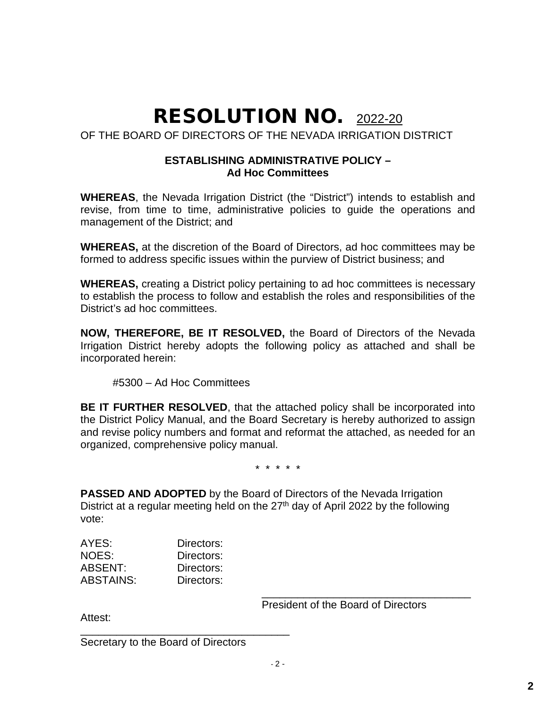## RESOLUTION NO. 2022-20

OF THE BOARD OF DIRECTORS OF THE NEVADA IRRIGATION DISTRICT

### **ESTABLISHING ADMINISTRATIVE POLICY – Ad Hoc Committees**

**WHEREAS**, the Nevada Irrigation District (the "District") intends to establish and revise, from time to time, administrative policies to guide the operations and management of the District; and

**WHEREAS,** at the discretion of the Board of Directors, ad hoc committees may be formed to address specific issues within the purview of District business; and

**WHEREAS,** creating a District policy pertaining to ad hoc committees is necessary to establish the process to follow and establish the roles and responsibilities of the District's ad hoc committees.

**NOW, THEREFORE, BE IT RESOLVED,** the Board of Directors of the Nevada Irrigation District hereby adopts the following policy as attached and shall be incorporated herein:

#5300 – Ad Hoc Committees

**BE IT FURTHER RESOLVED**, that the attached policy shall be incorporated into the District Policy Manual, and the Board Secretary is hereby authorized to assign and revise policy numbers and format and reformat the attached, as needed for an organized, comprehensive policy manual.

\* \* \* \* \*

**PASSED AND ADOPTED** by the Board of Directors of the Nevada Irrigation District at a regular meeting held on the  $27<sup>th</sup>$  day of April 2022 by the following vote:

| Directors: |
|------------|
| Directors: |
| Directors: |
| Directors: |
|            |

\_\_\_\_\_\_\_\_\_\_\_\_\_\_\_\_\_\_\_\_\_\_\_\_\_\_\_\_\_\_\_\_\_\_\_ President of the Board of Directors

Attest:

\_\_\_\_\_\_\_\_\_\_\_\_\_\_\_\_\_\_\_\_\_\_\_\_\_\_\_\_\_\_\_\_\_\_\_ Secretary to the Board of Directors